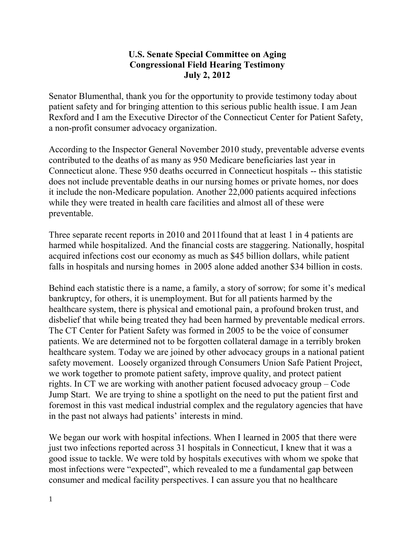## **U.S. Senate Special Committee on Aging Congressional Field Hearing Testimony July 2, 2012**

Senator Blumenthal, thank you for the opportunity to provide testimony today about patient safety and for bringing attention to this serious public health issue. I am Jean Rexford and I am the Executive Director of the Connecticut Center for Patient Safety, a non-profit consumer advocacy organization.

According to the Inspector General November 2010 study, preventable adverse events contributed to the deaths of as many as 950 Medicare beneficiaries last year in Connecticut alone. These 950 deaths occurred in Connecticut hospitals -- this statistic does not include preventable deaths in our nursing homes or private homes, nor does it include the non-Medicare population. Another 22,000 patients acquired infections while they were treated in health care facilities and almost all of these were preventable.

Three separate recent reports in 2010 and 2011found that at least 1 in 4 patients are harmed while hospitalized. And the financial costs are staggering. Nationally, hospital acquired infections cost our economy as much as \$45 billion dollars, while patient falls in hospitals and nursing homes in 2005 alone added another \$34 billion in costs.

Behind each statistic there is a name, a family, a story of sorrow; for some it's medical bankruptcy, for others, it is unemployment. But for all patients harmed by the healthcare system, there is physical and emotional pain, a profound broken trust, and disbelief that while being treated they had been harmed by preventable medical errors. The CT Center for Patient Safety was formed in 2005 to be the voice of consumer patients. We are determined not to be forgotten collateral damage in a terribly broken healthcare system. Today we are joined by other advocacy groups in a national patient safety movement. Loosely organized through Consumers Union Safe Patient Project, we work together to promote patient safety, improve quality, and protect patient rights. In CT we are working with another patient focused advocacy group – Code Jump Start. We are trying to shine a spotlight on the need to put the patient first and foremost in this vast medical industrial complex and the regulatory agencies that have in the past not always had patients' interests in mind.

We began our work with hospital infections. When I learned in 2005 that there were just two infections reported across 31 hospitals in Connecticut, I knew that it was a good issue to tackle. We were told by hospitals executives with whom we spoke that most infections were "expected", which revealed to me a fundamental gap between consumer and medical facility perspectives. I can assure you that no healthcare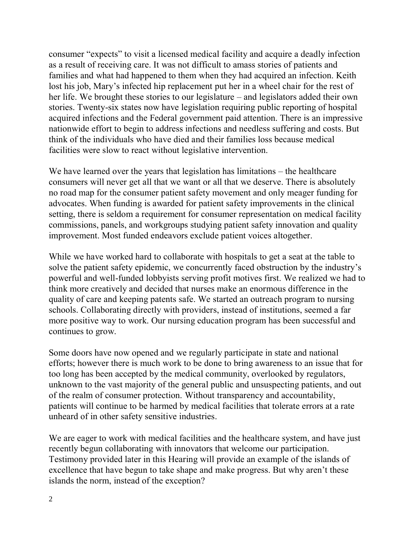consumer "expects" to visit a licensed medical facility and acquire a deadly infection as a result of receiving care. It was not difficult to amass stories of patients and families and what had happened to them when they had acquired an infection. Keith lost his job, Mary's infected hip replacement put her in a wheel chair for the rest of her life. We brought these stories to our legislature – and legislators added their own stories. Twenty-six states now have legislation requiring public reporting of hospital acquired infections and the Federal government paid attention. There is an impressive nationwide effort to begin to address infections and needless suffering and costs. But think of the individuals who have died and their families loss because medical facilities were slow to react without legislative intervention.

We have learned over the years that legislation has limitations – the healthcare consumers will never get all that we want or all that we deserve. There is absolutely no road map for the consumer patient safety movement and only meager funding for advocates. When funding is awarded for patient safety improvements in the clinical setting, there is seldom a requirement for consumer representation on medical facility commissions, panels, and workgroups studying patient safety innovation and quality improvement. Most funded endeavors exclude patient voices altogether.

While we have worked hard to collaborate with hospitals to get a seat at the table to solve the patient safety epidemic, we concurrently faced obstruction by the industry's powerful and well-funded lobbyists serving profit motives first. We realized we had to think more creatively and decided that nurses make an enormous difference in the quality of care and keeping patents safe. We started an outreach program to nursing schools. Collaborating directly with providers, instead of institutions, seemed a far more positive way to work. Our nursing education program has been successful and continues to grow.

Some doors have now opened and we regularly participate in state and national efforts; however there is much work to be done to bring awareness to an issue that for too long has been accepted by the medical community, overlooked by regulators, unknown to the vast majority of the general public and unsuspecting patients, and out of the realm of consumer protection. Without transparency and accountability, patients will continue to be harmed by medical facilities that tolerate errors at a rate unheard of in other safety sensitive industries.

We are eager to work with medical facilities and the healthcare system, and have just recently begun collaborating with innovators that welcome our participation. Testimony provided later in this Hearing will provide an example of the islands of excellence that have begun to take shape and make progress. But why aren't these islands the norm, instead of the exception?